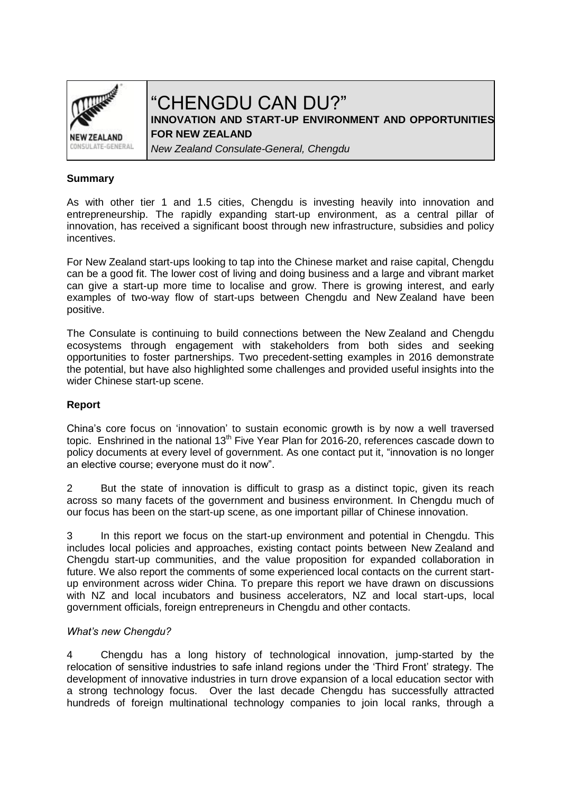

# "CHENGDU CAN DU?" **INNOVATION AND START-UP ENVIRONMENT AND OPPORTUNITIES**

**FOR NEW ZEALAND** 

*New Zealand Consulate-General, Chengdu*

### **Summary**

As with other tier 1 and 1.5 cities, Chengdu is investing heavily into innovation and entrepreneurship. The rapidly expanding start-up environment, as a central pillar of innovation, has received a significant boost through new infrastructure, subsidies and policy incentives.

For New Zealand start-ups looking to tap into the Chinese market and raise capital, Chengdu can be a good fit. The lower cost of living and doing business and a large and vibrant market can give a start-up more time to localise and grow. There is growing interest, and early examples of two-way flow of start-ups between Chengdu and New Zealand have been positive.

The Consulate is continuing to build connections between the New Zealand and Chengdu ecosystems through engagement with stakeholders from both sides and seeking opportunities to foster partnerships. Two precedent-setting examples in 2016 demonstrate the potential, but have also highlighted some challenges and provided useful insights into the wider Chinese start-up scene.

## **Report**

China's core focus on 'innovation' to sustain economic growth is by now a well traversed topic. Enshrined in the national  $13<sup>th</sup>$  Five Year Plan for 2016-20, references cascade down to policy documents at every level of government. As one contact put it, "innovation is no longer an elective course; everyone must do it now".

2 But the state of innovation is difficult to grasp as a distinct topic, given its reach across so many facets of the government and business environment. In Chengdu much of our focus has been on the start-up scene, as one important pillar of Chinese innovation.

3 In this report we focus on the start-up environment and potential in Chengdu. This includes local policies and approaches, existing contact points between New Zealand and Chengdu start-up communities, and the value proposition for expanded collaboration in future. We also report the comments of some experienced local contacts on the current startup environment across wider China. To prepare this report we have drawn on discussions with NZ and local incubators and business accelerators, NZ and local start-ups, local government officials, foreign entrepreneurs in Chengdu and other contacts.

#### *What's new Chengdu?*

4 Chengdu has a long history of technological innovation, jump-started by the relocation of sensitive industries to safe inland regions under the 'Third Front' strategy. The development of innovative industries in turn drove expansion of a local education sector with a strong technology focus. Over the last decade Chengdu has successfully attracted hundreds of foreign multinational technology companies to join local ranks, through a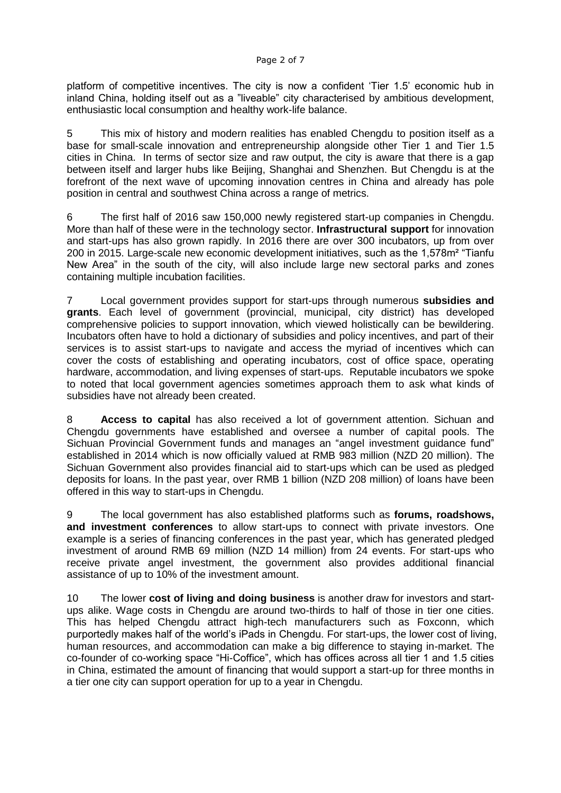platform of competitive incentives. The city is now a confident 'Tier 1.5' economic hub in inland China, holding itself out as a "liveable" city characterised by ambitious development, enthusiastic local consumption and healthy work-life balance.

5 This mix of history and modern realities has enabled Chengdu to position itself as a base for small-scale innovation and entrepreneurship alongside other Tier 1 and Tier 1.5 cities in China. In terms of sector size and raw output, the city is aware that there is a gap between itself and larger hubs like Beijing, Shanghai and Shenzhen. But Chengdu is at the forefront of the next wave of upcoming innovation centres in China and already has pole position in central and southwest China across a range of metrics.

6 The first half of 2016 saw 150,000 newly registered start-up companies in Chengdu. More than half of these were in the technology sector. **Infrastructural support** for innovation and start-ups has also grown rapidly. In 2016 there are over 300 incubators, up from over 200 in 2015. Large-scale new economic development initiatives, such as the 1,578m² "Tianfu New Area" in the south of the city, will also include large new sectoral parks and zones containing multiple incubation facilities.

7 Local government provides support for start-ups through numerous **subsidies and grants**. Each level of government (provincial, municipal, city district) has developed comprehensive policies to support innovation, which viewed holistically can be bewildering. Incubators often have to hold a dictionary of subsidies and policy incentives, and part of their services is to assist start-ups to navigate and access the myriad of incentives which can cover the costs of establishing and operating incubators, cost of office space, operating hardware, accommodation, and living expenses of start-ups. Reputable incubators we spoke to noted that local government agencies sometimes approach them to ask what kinds of subsidies have not already been created.

8 **Access to capital** has also received a lot of government attention. Sichuan and Chengdu governments have established and oversee a number of capital pools. The Sichuan Provincial Government funds and manages an "angel investment guidance fund" established in 2014 which is now officially valued at RMB 983 million (NZD 20 million). The Sichuan Government also provides financial aid to start-ups which can be used as pledged deposits for loans. In the past year, over RMB 1 billion (NZD 208 million) of loans have been offered in this way to start-ups in Chengdu.

9 The local government has also established platforms such as **forums, roadshows, and investment conferences** to allow start-ups to connect with private investors. One example is a series of financing conferences in the past year, which has generated pledged investment of around RMB 69 million (NZD 14 million) from 24 events. For start-ups who receive private angel investment, the government also provides additional financial assistance of up to 10% of the investment amount.

10 The lower **cost of living and doing business** is another draw for investors and startups alike. Wage costs in Chengdu are around two-thirds to half of those in tier one cities. This has helped Chengdu attract high-tech manufacturers such as Foxconn, which purportedly makes half of the world's iPads in Chengdu. For start-ups, the lower cost of living, human resources, and accommodation can make a big difference to staying in-market. The co-founder of co-working space "Hi-Coffice", which has offices across all tier 1 and 1.5 cities in China, estimated the amount of financing that would support a start-up for three months in a tier one city can support operation for up to a year in Chengdu.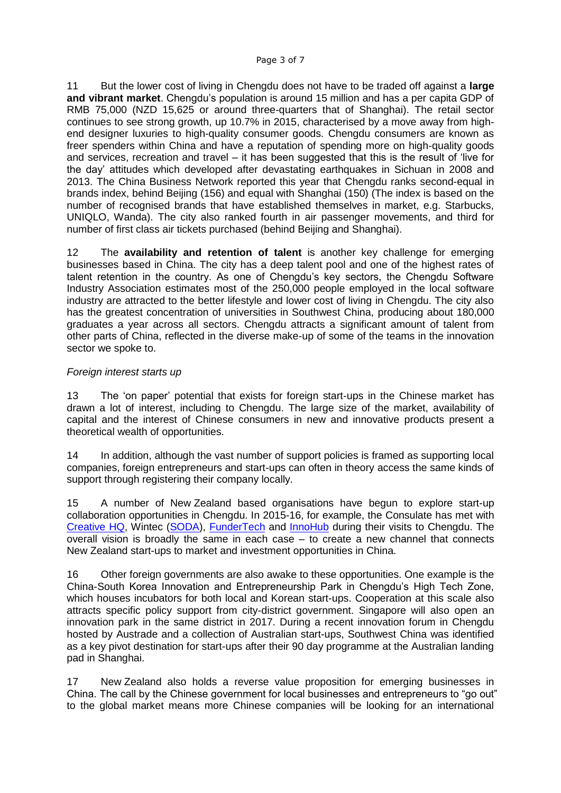11 But the lower cost of living in Chengdu does not have to be traded off against a **large and vibrant market**. Chengdu's population is around 15 million and has a per capita GDP of RMB 75,000 (NZD 15,625 or around three-quarters that of Shanghai). The retail sector continues to see strong growth, up 10.7% in 2015, characterised by a move away from highend designer luxuries to high-quality consumer goods. Chengdu consumers are known as freer spenders within China and have a reputation of spending more on high-quality goods and services, recreation and travel – it has been suggested that this is the result of 'live for the day' attitudes which developed after devastating earthquakes in Sichuan in 2008 and 2013. The China Business Network reported this year that Chengdu ranks second-equal in brands index, behind Beijing (156) and equal with Shanghai (150) (The index is based on the number of recognised brands that have established themselves in market, e.g. Starbucks, UNIQLO, Wanda). The city also ranked fourth in air passenger movements, and third for number of first class air tickets purchased (behind Beijing and Shanghai).

12 The **availability and retention of talent** is another key challenge for emerging businesses based in China. The city has a deep talent pool and one of the highest rates of talent retention in the country. As one of Chengdu's key sectors, the Chengdu Software Industry Association estimates most of the 250,000 people employed in the local software industry are attracted to the better lifestyle and lower cost of living in Chengdu. The city also has the greatest concentration of universities in Southwest China, producing about 180,000 graduates a year across all sectors. Chengdu attracts a significant amount of talent from other parts of China, reflected in the diverse make-up of some of the teams in the innovation sector we spoke to.

#### *Foreign interest starts up*

13 The 'on paper' potential that exists for foreign start-ups in the Chinese market has drawn a lot of interest, including to Chengdu. The large size of the market, availability of capital and the interest of Chinese consumers in new and innovative products present a theoretical wealth of opportunities.

14 In addition, although the vast number of support policies is framed as supporting local companies, foreign entrepreneurs and start-ups can often in theory access the same kinds of support through registering their company locally.

15 A number of New Zealand based organisations have begun to explore start-up collaboration opportunities in Chengdu. In 2015-16, for example, the Consulate has met with [Creative HQ,](http://www.creativehq.co.nz/) Wintec [\(SODA\)](http://www.sodainc.com/), [FunderTech](https://bizedge.co.nz/story/fundertech-throws-kiwi-tech-startups-lifeline-china/) and [InnoHub](http://www.nzherald.co.nz/business/news/article.cfm?c_id=3&objectid=11632304) during their visits to Chengdu. The overall vision is broadly the same in each case – to create a new channel that connects New Zealand start-ups to market and investment opportunities in China.

16 Other foreign governments are also awake to these opportunities. One example is the China-South Korea Innovation and Entrepreneurship Park in Chengdu's High Tech Zone, which houses incubators for both local and Korean start-ups. Cooperation at this scale also attracts specific policy support from city-district government. Singapore will also open an innovation park in the same district in 2017. During a recent innovation forum in Chengdu hosted by Austrade and a collection of Australian start-ups, Southwest China was identified as a key pivot destination for start-ups after their 90 day programme at the Australian landing pad in Shanghai.

17 New Zealand also holds a reverse value proposition for emerging businesses in China. The call by the Chinese government for local businesses and entrepreneurs to "go out" to the global market means more Chinese companies will be looking for an international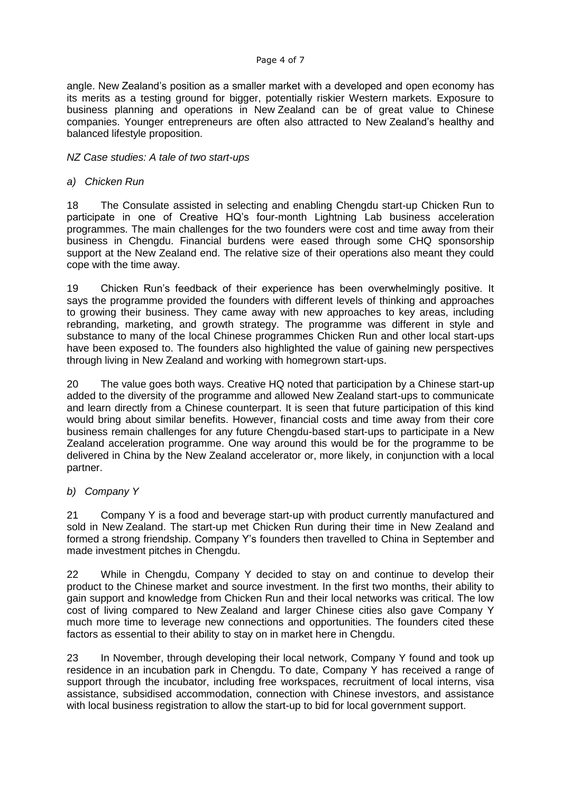#### Page 4 of 7

angle. New Zealand's position as a smaller market with a developed and open economy has its merits as a testing ground for bigger, potentially riskier Western markets. Exposure to business planning and operations in New Zealand can be of great value to Chinese companies. Younger entrepreneurs are often also attracted to New Zealand's healthy and balanced lifestyle proposition.

#### *NZ Case studies: A tale of two start-ups*

#### *a) Chicken Run*

18 The Consulate assisted in selecting and enabling Chengdu start-up Chicken Run to participate in one of Creative HQ's four-month Lightning Lab business acceleration programmes. The main challenges for the two founders were cost and time away from their business in Chengdu. Financial burdens were eased through some CHQ sponsorship support at the New Zealand end. The relative size of their operations also meant they could cope with the time away.

19 Chicken Run's feedback of their experience has been overwhelmingly positive. It says the programme provided the founders with different levels of thinking and approaches to growing their business. They came away with new approaches to key areas, including rebranding, marketing, and growth strategy. The programme was different in style and substance to many of the local Chinese programmes Chicken Run and other local start-ups have been exposed to. The founders also highlighted the value of gaining new perspectives through living in New Zealand and working with homegrown start-ups.

20 The value goes both ways. Creative HQ noted that participation by a Chinese start-up added to the diversity of the programme and allowed New Zealand start-ups to communicate and learn directly from a Chinese counterpart. It is seen that future participation of this kind would bring about similar benefits. However, financial costs and time away from their core business remain challenges for any future Chengdu-based start-ups to participate in a New Zealand acceleration programme. One way around this would be for the programme to be delivered in China by the New Zealand accelerator or, more likely, in conjunction with a local partner.

#### *b) Company Y*

21 Company Y is a food and beverage start-up with product currently manufactured and sold in New Zealand. The start-up met Chicken Run during their time in New Zealand and formed a strong friendship. Company Y's founders then travelled to China in September and made investment pitches in Chengdu.

22 While in Chengdu, Company Y decided to stay on and continue to develop their product to the Chinese market and source investment. In the first two months, their ability to gain support and knowledge from Chicken Run and their local networks was critical. The low cost of living compared to New Zealand and larger Chinese cities also gave Company Y much more time to leverage new connections and opportunities. The founders cited these factors as essential to their ability to stay on in market here in Chengdu.

23 In November, through developing their local network, Company Y found and took up residence in an incubation park in Chengdu. To date, Company Y has received a range of support through the incubator, including free workspaces, recruitment of local interns, visa assistance, subsidised accommodation, connection with Chinese investors, and assistance with local business registration to allow the start-up to bid for local government support.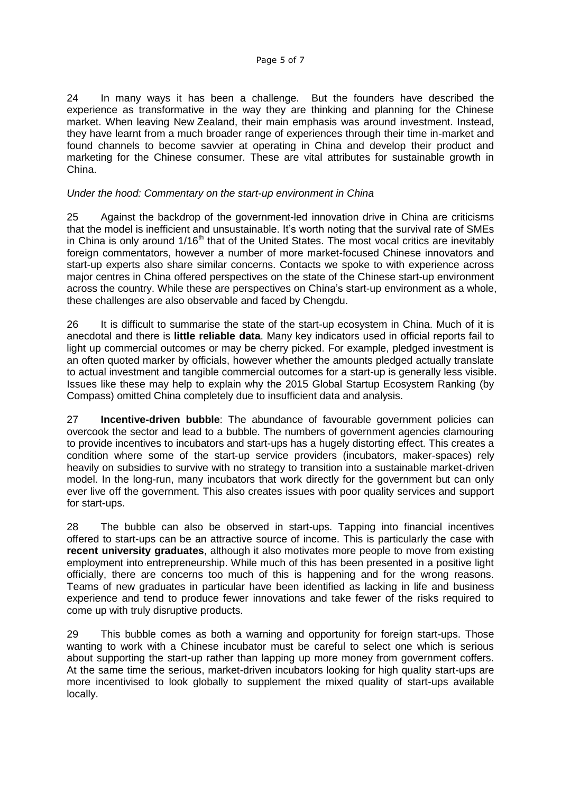24 In many ways it has been a challenge. But the founders have described the experience as transformative in the way they are thinking and planning for the Chinese market. When leaving New Zealand, their main emphasis was around investment. Instead, they have learnt from a much broader range of experiences through their time in-market and found channels to become savvier at operating in China and develop their product and marketing for the Chinese consumer. These are vital attributes for sustainable growth in China.

### *Under the hood: Commentary on the start-up environment in China*

25 Against the backdrop of the government-led innovation drive in China are criticisms that the model is inefficient and unsustainable. It's worth noting that the survival rate of SMEs in China is only around  $1/16<sup>th</sup>$  that of the United States. The most vocal critics are inevitably foreign commentators, however a number of more market-focused Chinese innovators and start-up experts also share similar concerns. Contacts we spoke to with experience across major centres in China offered perspectives on the state of the Chinese start-up environment across the country. While these are perspectives on China's start-up environment as a whole, these challenges are also observable and faced by Chengdu.

26 It is difficult to summarise the state of the start-up ecosystem in China. Much of it is anecdotal and there is **little reliable data**. Many key indicators used in official reports fail to light up commercial outcomes or may be cherry picked. For example, pledged investment is an often quoted marker by officials, however whether the amounts pledged actually translate to actual investment and tangible commercial outcomes for a start-up is generally less visible. Issues like these may help to explain why the 2015 Global Startup Ecosystem Ranking (by Compass) omitted China completely due to insufficient data and analysis.

27 **Incentive-driven bubble**: The abundance of favourable government policies can overcook the sector and lead to a bubble. The numbers of government agencies clamouring to provide incentives to incubators and start-ups has a hugely distorting effect. This creates a condition where some of the start-up service providers (incubators, maker-spaces) rely heavily on subsidies to survive with no strategy to transition into a sustainable market-driven model. In the long-run, many incubators that work directly for the government but can only ever live off the government. This also creates issues with poor quality services and support for start-ups.

28 The bubble can also be observed in start-ups. Tapping into financial incentives offered to start-ups can be an attractive source of income. This is particularly the case with **recent university graduates**, although it also motivates more people to move from existing employment into entrepreneurship. While much of this has been presented in a positive light officially, there are concerns too much of this is happening and for the wrong reasons. Teams of new graduates in particular have been identified as lacking in life and business experience and tend to produce fewer innovations and take fewer of the risks required to come up with truly disruptive products.

29 This bubble comes as both a warning and opportunity for foreign start-ups. Those wanting to work with a Chinese incubator must be careful to select one which is serious about supporting the start-up rather than lapping up more money from government coffers. At the same time the serious, market-driven incubators looking for high quality start-ups are more incentivised to look globally to supplement the mixed quality of start-ups available locally.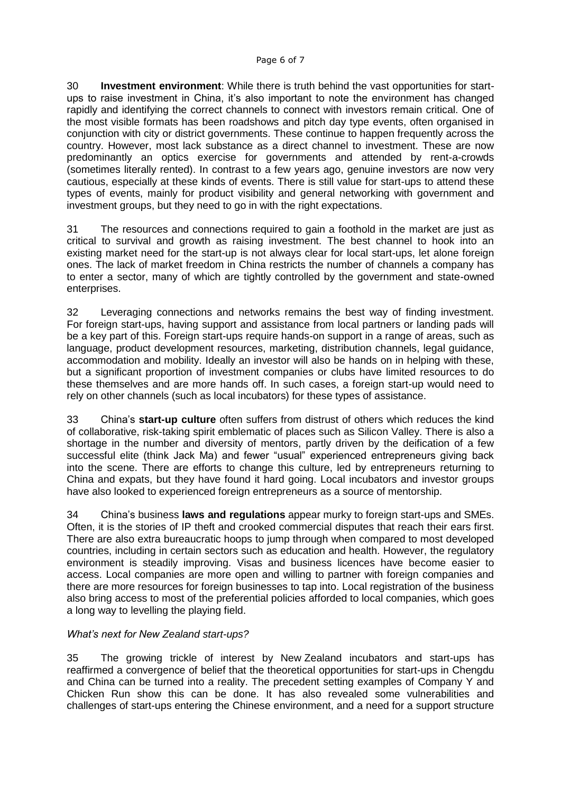30 **Investment environment**: While there is truth behind the vast opportunities for startups to raise investment in China, it's also important to note the environment has changed rapidly and identifying the correct channels to connect with investors remain critical. One of the most visible formats has been roadshows and pitch day type events, often organised in conjunction with city or district governments. These continue to happen frequently across the country. However, most lack substance as a direct channel to investment. These are now predominantly an optics exercise for governments and attended by rent-a-crowds (sometimes literally rented). In contrast to a few years ago, genuine investors are now very cautious, especially at these kinds of events. There is still value for start-ups to attend these types of events, mainly for product visibility and general networking with government and investment groups, but they need to go in with the right expectations.

31 The resources and connections required to gain a foothold in the market are just as critical to survival and growth as raising investment. The best channel to hook into an existing market need for the start-up is not always clear for local start-ups, let alone foreign ones. The lack of market freedom in China restricts the number of channels a company has to enter a sector, many of which are tightly controlled by the government and state-owned enterprises.

32 Leveraging connections and networks remains the best way of finding investment. For foreign start-ups, having support and assistance from local partners or landing pads will be a key part of this. Foreign start-ups require hands-on support in a range of areas, such as language, product development resources, marketing, distribution channels, legal guidance, accommodation and mobility. Ideally an investor will also be hands on in helping with these, but a significant proportion of investment companies or clubs have limited resources to do these themselves and are more hands off. In such cases, a foreign start-up would need to rely on other channels (such as local incubators) for these types of assistance.

33 China's **start-up culture** often suffers from distrust of others which reduces the kind of collaborative, risk-taking spirit emblematic of places such as Silicon Valley. There is also a shortage in the number and diversity of mentors, partly driven by the deification of a few successful elite (think Jack Ma) and fewer "usual" experienced entrepreneurs giving back into the scene. There are efforts to change this culture, led by entrepreneurs returning to China and expats, but they have found it hard going. Local incubators and investor groups have also looked to experienced foreign entrepreneurs as a source of mentorship.

34 China's business **laws and regulations** appear murky to foreign start-ups and SMEs. Often, it is the stories of IP theft and crooked commercial disputes that reach their ears first. There are also extra bureaucratic hoops to jump through when compared to most developed countries, including in certain sectors such as education and health. However, the regulatory environment is steadily improving. Visas and business licences have become easier to access. Local companies are more open and willing to partner with foreign companies and there are more resources for foreign businesses to tap into. Local registration of the business also bring access to most of the preferential policies afforded to local companies, which goes a long way to levelling the playing field.

#### *What's next for New Zealand start-ups?*

35 The growing trickle of interest by New Zealand incubators and start-ups has reaffirmed a convergence of belief that the theoretical opportunities for start-ups in Chengdu and China can be turned into a reality. The precedent setting examples of Company Y and Chicken Run show this can be done. It has also revealed some vulnerabilities and challenges of start-ups entering the Chinese environment, and a need for a support structure